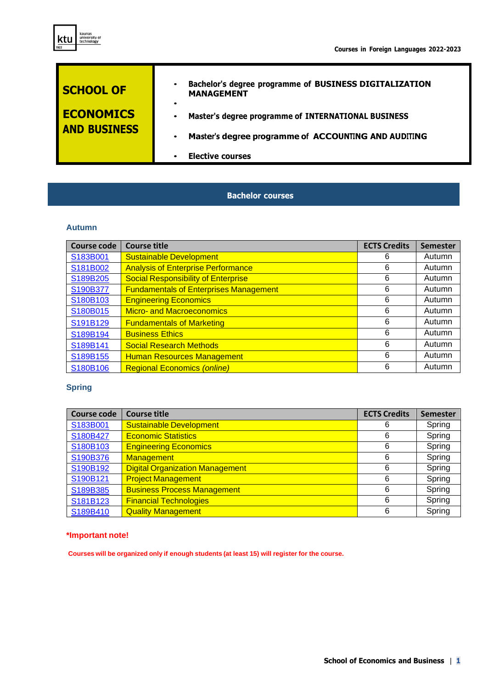



## **Bachelor courses**

#### **Autumn**

ktu

| <b>Course code</b> | <b>Course title</b>                           | <b>ECTS Credits</b> | <b>Semester</b> |
|--------------------|-----------------------------------------------|---------------------|-----------------|
| S183B001           | <b>Sustainable Development</b>                | 6                   | Autumn          |
| S181B002           | <b>Analysis of Enterprise Performance</b>     | 6                   | Autumn          |
| S189B205           | <b>Social Responsibility of Enterprise</b>    | 6                   | Autumn          |
| S190B377           | <b>Fundamentals of Enterprises Management</b> | 6                   | Autumn          |
| S180B103           | <b>Engineering Economics</b>                  | 6                   | Autumn          |
| S180B015           | <b>Micro- and Macroeconomics</b>              | 6                   | Autumn          |
| S191B129           | <b>Fundamentals of Marketing</b>              | 6                   | Autumn          |
| S189B194           | <b>Business Ethics</b>                        | 6                   | Autumn          |
| S189B141           | <b>Social Research Methods</b>                | 6                   | Autumn          |
| S189B155           | <b>Human Resources Management</b>             | 6                   | Autumn          |
| S180B106           | <b>Regional Economics (online)</b>            | 6                   | Autumn          |

### **Spring**

| <b>Course code</b> | <b>Course title</b>                    | <b>ECTS Credits</b> | <b>Semester</b> |
|--------------------|----------------------------------------|---------------------|-----------------|
| S183B001           | <b>Sustainable Development</b>         | 6                   | Spring          |
| S180B427           | <b>Economic Statistics</b>             | 6                   | Spring          |
| S180B103           | <b>Engineering Economics</b>           | 6                   | Spring          |
| S190B376           | <b>Management</b>                      | 6                   | Spring          |
| S190B192           | <b>Digital Organization Management</b> | 6                   | Spring          |
| S190B121           | <b>Project Management</b>              | 6                   | Spring          |
| S189B385           | <b>Business Process Management</b>     | 6                   | Spring          |
| S181B123           | <b>Financial Technologies</b>          | 6                   | Spring          |
| S189B410           | <b>Quality Management</b>              | 6                   | Spring          |

#### **\*Important note!**

**Courses will be organized only if enough students (at least 15) will register for the course.**